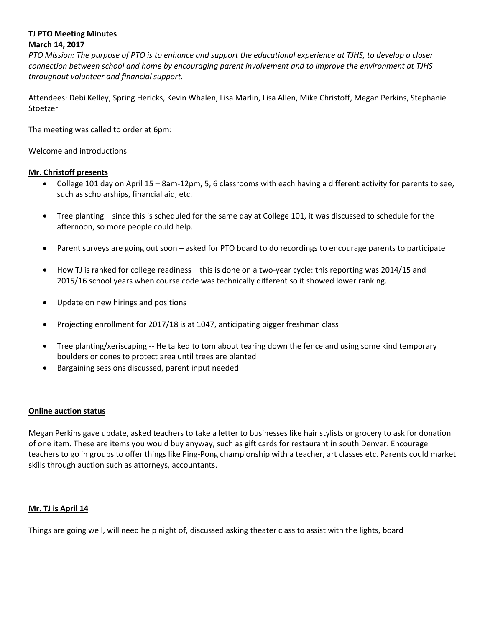## **TJ PTO Meeting Minutes March 14, 2017**

*PTO Mission: The purpose of PTO is to enhance and support the educational experience at TJHS, to develop a closer connection between school and home by encouraging parent involvement and to improve the environment at TJHS throughout volunteer and financial support.*

Attendees: Debi Kelley, Spring Hericks, Kevin Whalen, Lisa Marlin, Lisa Allen, Mike Christoff, Megan Perkins, Stephanie Stoetzer

The meeting was called to order at 6pm:

Welcome and introductions

# **Mr. Christoff presents**

- College 101 day on April 15 8am-12pm, 5, 6 classrooms with each having a different activity for parents to see, such as scholarships, financial aid, etc.
- Tree planting since this is scheduled for the same day at College 101, it was discussed to schedule for the afternoon, so more people could help.
- Parent surveys are going out soon asked for PTO board to do recordings to encourage parents to participate
- How TJ is ranked for college readiness this is done on a two-year cycle: this reporting was 2014/15 and 2015/16 school years when course code was technically different so it showed lower ranking.
- Update on new hirings and positions
- Projecting enrollment for 2017/18 is at 1047, anticipating bigger freshman class
- Tree planting/xeriscaping -- He talked to tom about tearing down the fence and using some kind temporary boulders or cones to protect area until trees are planted
- Bargaining sessions discussed, parent input needed

### **Online auction status**

Megan Perkins gave update, asked teachers to take a letter to businesses like hair stylists or grocery to ask for donation of one item. These are items you would buy anyway, such as gift cards for restaurant in south Denver. Encourage teachers to go in groups to offer things like Ping-Pong championship with a teacher, art classes etc. Parents could market skills through auction such as attorneys, accountants.

### **Mr. TJ is April 14**

Things are going well, will need help night of, discussed asking theater class to assist with the lights, board